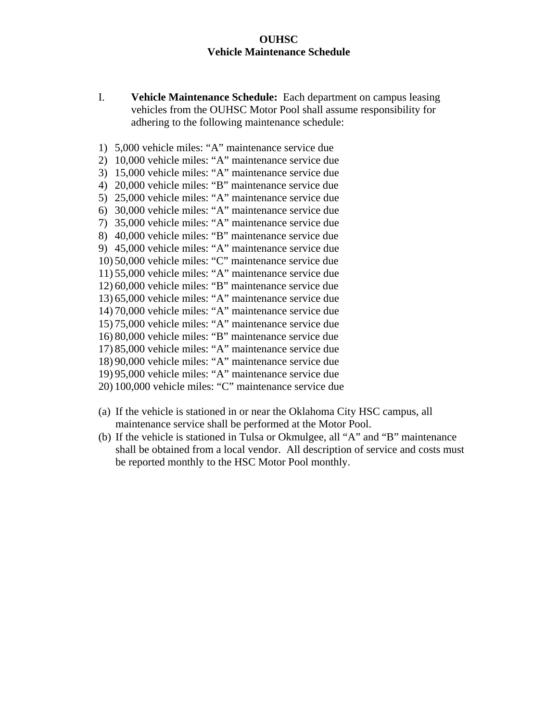## **OUHSC Vehicle Maintenance Schedule**

- I. **Vehicle Maintenance Schedule:** Each department on campus leasing vehicles from the OUHSC Motor Pool shall assume responsibility for adhering to the following maintenance schedule:
- 1) 5,000 vehicle miles: "A" maintenance service due
- 2) 10,000 vehicle miles: "A" maintenance service due
- 3) 15,000 vehicle miles: "A" maintenance service due
- 4) 20,000 vehicle miles: "B" maintenance service due
- 5) 25,000 vehicle miles: "A" maintenance service due
- 6) 30,000 vehicle miles: "A" maintenance service due
- 7) 35,000 vehicle miles: "A" maintenance service due 8) 40,000 vehicle miles: "B" maintenance service due
- 9) 45,000 vehicle miles: "A" maintenance service due
- 10) 50,000 vehicle miles: "C" maintenance service due
- 11) 55,000 vehicle miles: "A" maintenance service due
- 12) 60,000 vehicle miles: "B" maintenance service due
- 13) 65,000 vehicle miles: "A" maintenance service due
- 14) 70,000 vehicle miles: "A" maintenance service due
- 15) 75,000 vehicle miles: "A" maintenance service due
- 16) 80,000 vehicle miles: "B" maintenance service due
- 17) 85,000 vehicle miles: "A" maintenance service due
- 18) 90,000 vehicle miles: "A" maintenance service due
- 19) 95,000 vehicle miles: "A" maintenance service due
- 20) 100,000 vehicle miles: "C" maintenance service due
- (a) If the vehicle is stationed in or near the Oklahoma City HSC campus, all maintenance service shall be performed at the Motor Pool.
- (b) If the vehicle is stationed in Tulsa or Okmulgee, all "A" and "B" maintenance shall be obtained from a local vendor. All description of service and costs must be reported monthly to the HSC Motor Pool monthly.